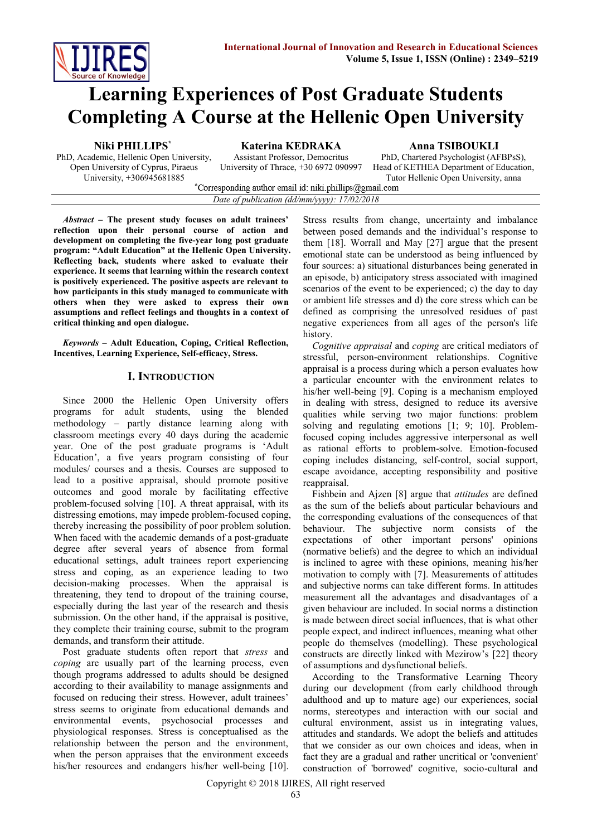

# **Learning Experiences of Post Graduate Students Completing A Course at the Hellenic Open University**

**Niki PHILLIPS\* Katerina KEDRAKA Anna TSIBOUKLI**

PhD, Academic, Hellenic Open University, Open University of Cyprus, Piraeus University, +306945681885

Assistant Professor, Democritus University of Thrace, +30 6972 090997

PhD, Chartered Psychologist (AFBPsS), Head of KETHEA Department of Education,

Tutor Hellenic Open University, anna

| Corresponding author email id: niki.phillips@gmail.com |  |
|--------------------------------------------------------|--|
| Date of publication (dd/mm/yyyy): $17/02/2018$         |  |

*Abstract –* **The present study focuses on adult trainees' reflection upon their personal course of action and development on completing the five-year long post graduate program: "Adult Education" at the Hellenic Open University. Reflecting back, students where asked to evaluate their experience. It seems that learning within the research context is positively experienced. The positive aspects are relevant to how participants in this study managed to communicate with others when they were asked to express their own assumptions and reflect feelings and thoughts in a context of critical thinking and open dialogue.**

*Keywords* **– Adult Education, Coping, Critical Reflection, Incentives, Learning Experience, Self-efficacy, Stress.**

## **I. INTRODUCTION**

Since 2000 the Hellenic Open University offers programs for adult students, using the blended methodology – partly distance learning along with classroom meetings every 40 days during the academic year. One of the post graduate programs is 'Adult Education', a five years program consisting of four modules/ courses and a thesis. Courses are supposed to lead to a positive appraisal, should promote positive outcomes and good morale by facilitating effective problem-focused solving [10]. A threat appraisal, with its distressing emotions, may impede problem-focused coping, thereby increasing the possibility of poor problem solution. When faced with the academic demands of a post-graduate degree after several years of absence from formal educational settings, adult trainees report experiencing stress and coping, as an experience leading to two decision-making processes. When the appraisal is threatening, they tend to dropout of the training course, especially during the last year of the research and thesis submission. On the other hand, if the appraisal is positive, they complete their training course, submit to the program demands, and transform their attitude.

Post graduate students often report that *stress* and *coping* are usually part of the learning process, even though programs addressed to adults should be designed according to their availability to manage assignments and focused on reducing their stress. However, adult trainees' stress seems to originate from educational demands and environmental events, psychosocial processes and physiological responses. Stress is conceptualised as the relationship between the person and the environment, when the person appraises that the environment exceeds his/her resources and endangers his/her well-being [10].

Stress results from change, uncertainty and imbalance between posed demands and the individual's response to them [18]. Worrall and May [27] argue that the present emotional state can be understood as being influenced by four sources: a) situational disturbances being generated in an episode, b) anticipatory stress associated with imagined scenarios of the event to be experienced; c) the day to day or ambient life stresses and d) the core stress which can be defined as comprising the unresolved residues of past negative experiences from all ages of the person's life history.

*Cognitive appraisal* and *coping* are critical mediators of stressful, person-environment relationships. Cognitive appraisal is a process during which a person evaluates how a particular encounter with the environment relates to his/her well-being [9]. Coping is a mechanism employed in dealing with stress, designed to reduce its aversive qualities while serving two major functions: problem solving and regulating emotions [1; 9; 10]. Problemfocused coping includes aggressive interpersonal as well as rational efforts to problem-solve. Emotion-focused coping includes distancing, self-control, social support, escape avoidance, accepting responsibility and positive reappraisal.

Fishbein and Ajzen [8] argue that *attitudes* are defined as the sum of the beliefs about particular behaviours and the corresponding evaluations of the consequences of that behaviour. The subjective norm consists of the expectations of other important persons' opinions (normative beliefs) and the degree to which an individual is inclined to agree with these opinions, meaning his/her motivation to comply with [7]. Measurements of attitudes and subjective norms can take different forms. In attitudes measurement all the advantages and disadvantages of a given behaviour are included. In social norms a distinction is made between direct social influences, that is what other people expect, and indirect influences, meaning what other people do themselves (modelling). These psychological constructs are directly linked with Mezirow's [22] theory of assumptions and dysfunctional beliefs.

According to the Transformative Learning Theory during our development (from early childhood through adulthood and up to mature age) our experiences, social norms, stereotypes and interaction with our social and cultural environment, assist us in integrating values, attitudes and standards. We adopt the beliefs and attitudes that we consider as our own choices and ideas, when in fact they are a gradual and rather uncritical or 'convenient' construction of 'borrowed' cognitive, socio-cultural and

Copyright © 2018 IJIRES, All right reserved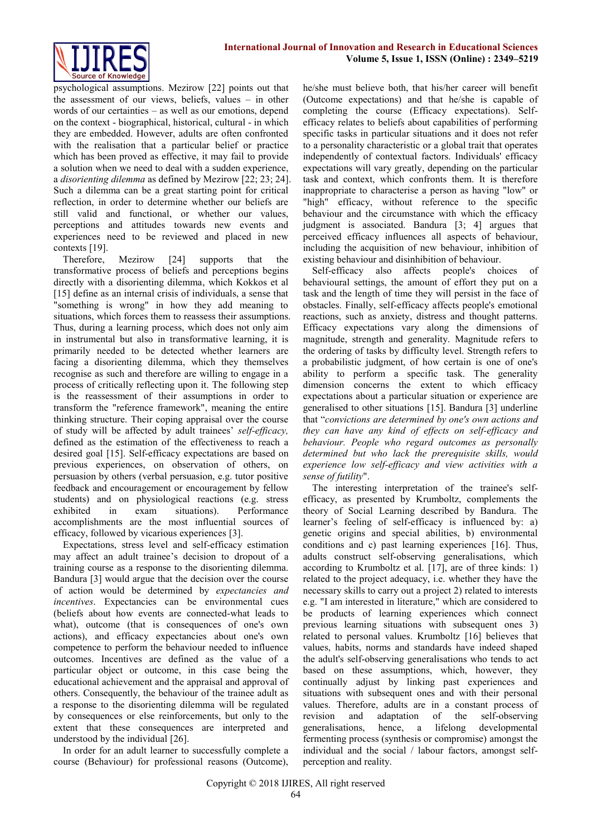

psychological assumptions. Mezirow [22] points out that the assessment of our views, beliefs, values – in other words of our certainties – as well as our emotions, depend on the context - biographical, historical, cultural - in which they are embedded. However, adults are often confronted with the realisation that a particular belief or practice which has been proved as effective, it may fail to provide a solution when we need to deal with a sudden experience, a *disorienting dilemma* as defined by Mezirow [22; 23; 24]. Such a dilemma can be a great starting point for critical reflection, in order to determine whether our beliefs are still valid and functional, or whether our values, perceptions and attitudes towards new events and experiences need to be reviewed and placed in new contexts [19].

Therefore, Mezirow [24] supports that the transformative process of beliefs and perceptions begins directly with a disorienting dilemma, which Kokkos et al [15] define as an internal crisis of individuals, a sense that "something is wrong" in how they add meaning to situations, which forces them to reassess their assumptions. Thus, during a learning process, which does not only aim in instrumental but also in transformative learning, it is primarily needed to be detected whether learners are facing a disorienting dilemma, which they themselves recognise as such and therefore are willing to engage in a process of critically reflecting upon it. The following step is the reassessment of their assumptions in order to transform the "reference framework", meaning the entire thinking structure. Their coping appraisal over the course of study will be affected by adult trainees' *self-efficacy,* defined as the estimation of the effectiveness to reach a desired goal [15]. Self-efficacy expectations are based on previous experiences, on observation of others, on persuasion by others (verbal persuasion, e.g. tutor positive feedback and encouragement or encouragement by fellow students) and on physiological reactions (e.g. stress exhibited in exam situations). Performance accomplishments are the most influential sources of efficacy, followed by vicarious experiences [3].

Expectations, stress level and self-efficacy estimation may affect an adult trainee's decision to dropout of a training course as a response to the disorienting dilemma. Bandura [3] would argue that the decision over the course of action would be determined by *expectancies and incentives*. Expectancies can be environmental cues (beliefs about how events are connected-what leads to what), outcome (that is consequences of one's own actions), and efficacy expectancies about one's own competence to perform the behaviour needed to influence outcomes. Incentives are defined as the value of a particular object or outcome, in this case being the educational achievement and the appraisal and approval of others. Consequently, the behaviour of the trainee adult as a response to the disorienting dilemma will be regulated by consequences or else reinforcements, but only to the extent that these consequences are interpreted and understood by the individual [26].

In order for an adult learner to successfully complete a course (Behaviour) for professional reasons (Outcome), he/she must believe both, that his/her career will benefit (Outcome expectations) and that he/she is capable of completing the course (Efficacy expectations). Selfefficacy relates to beliefs about capabilities of performing specific tasks in particular situations and it does not refer to a personality characteristic or a global trait that operates independently of contextual factors. Individuals' efficacy expectations will vary greatly, depending on the particular task and context, which confronts them. It is therefore inappropriate to characterise a person as having "low" or "high" efficacy, without reference to the specific behaviour and the circumstance with which the efficacy judgment is associated. Bandura [3; 4] argues that perceived efficacy influences all aspects of behaviour, including the acquisition of new behaviour, inhibition of existing behaviour and disinhibition of behaviour.

Self-efficacy also affects people's choices of behavioural settings, the amount of effort they put on a task and the length of time they will persist in the face of obstacles. Finally, self-efficacy affects people's emotional reactions, such as anxiety, distress and thought patterns. Efficacy expectations vary along the dimensions of magnitude, strength and generality. Magnitude refers to the ordering of tasks by difficulty level. Strength refers to a probabilistic judgment, of how certain is one of one's ability to perform a specific task. The generality dimension concerns the extent to which efficacy expectations about a particular situation or experience are generalised to other situations [15]. Bandura [3] underline that "*convictions are determined by one's own actions and they can have any kind of effects on self-efficacy and behaviour. People who regard outcomes as personally determined but who lack the prerequisite skills, would experience low self-efficacy and view activities with a sense of futility*".

The interesting interpretation of the trainee's selfefficacy, as presented by Krumboltz, complements the theory of Social Learning described by Bandura. The learner's feeling of self-efficacy is influenced by: a) genetic origins and special abilities, b) environmental conditions and c) past learning experiences [16]. Thus, adults construct self-observing generalisations, which according to Krumboltz et al. [17], are of three kinds: 1) related to the project adequacy, i.e. whether they have the necessary skills to carry out a project 2) related to interests e.g. "I am interested in literature," which are considered to be products of learning experiences which connect previous learning situations with subsequent ones 3) related to personal values. Krumboltz [16] believes that values, habits, norms and standards have indeed shaped the adult's self-observing generalisations who tends to act based on these assumptions, which, however, they continually adjust by linking past experiences and situations with subsequent ones and with their personal values. Therefore, adults are in a constant process of revision and adaptation of the self-observing generalisations, hence, a lifelong developmental fermenting process (synthesis or compromise) amongst the individual and the social / labour factors, amongst selfperception and reality.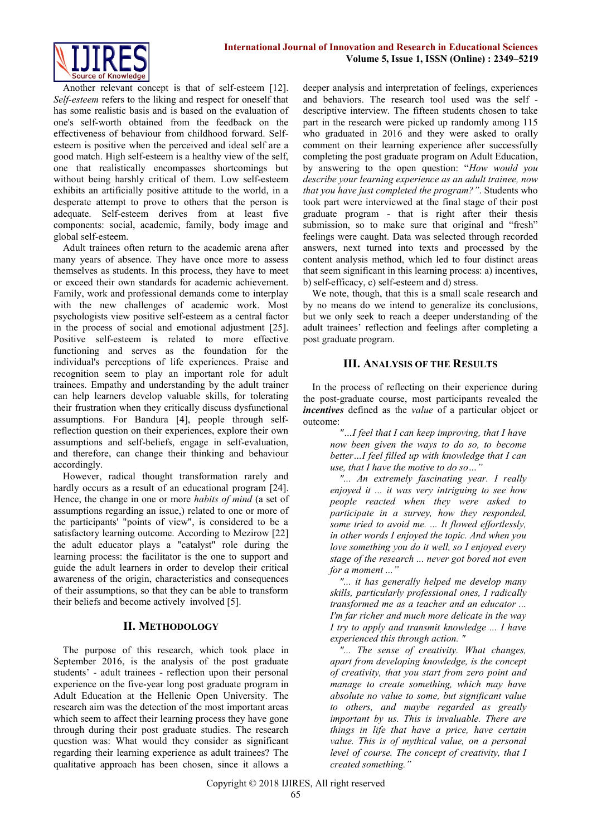

Another relevant concept is that of self-esteem [12]. *Self-esteem* refers to the liking and respect for oneself that has some realistic basis and is based on the evaluation of one's self-worth obtained from the feedback on the effectiveness of behaviour from childhood forward. Selfesteem is positive when the perceived and ideal self are a good match. High self-esteem is a healthy view of the self, one that realistically encompasses shortcomings but without being harshly critical of them. Low self-esteem exhibits an artificially positive attitude to the world, in a desperate attempt to prove to others that the person is adequate. Self-esteem derives from at least five components: social, academic, family, body image and global self-esteem.

Adult trainees often return to the academic arena after many years of absence. They have once more to assess themselves as students. In this process, they have to meet or exceed their own standards for academic achievement. Family, work and professional demands come to interplay with the new challenges of academic work. Most psychologists view positive self-esteem as a central factor in the process of social and emotional adjustment [25]. Positive self-esteem is related to more effective functioning and serves as the foundation for the individual's perceptions of life experiences. Praise and recognition seem to play an important role for adult trainees. Empathy and understanding by the adult trainer can help learners develop valuable skills, for tolerating their frustration when they critically discuss dysfunctional assumptions. For Bandura [4], people through selfreflection question on their experiences, explore their own assumptions and self-beliefs, engage in self-evaluation, and therefore, can change their thinking and behaviour accordingly.

However, radical thought transformation rarely and hardly occurs as a result of an educational program [24]. Hence, the change in one or more *habits of mind* (a set of assumptions regarding an issue,) related to one or more of the participants' "points of view", is considered to be a satisfactory learning outcome. According to Mezirow [22] the adult educator plays a "catalyst" role during the learning process: the facilitator is the one to support and guide the adult learners in order to develop their critical awareness of the origin, characteristics and consequences of their assumptions, so that they can be able to transform their beliefs and become actively involved [5].

## **II. METHODOLOGY**

The purpose of this research, which took place in September 2016, is the analysis of the post graduate students' - adult trainees - reflection upon their personal experience on the five-year long post graduate program in Adult Education at the Hellenic Open University. The research aim was the detection of the most important areas which seem to affect their learning process they have gone through during their post graduate studies. The research question was: What would they consider as significant regarding their learning experience as adult trainees? The qualitative approach has been chosen, since it allows a

deeper analysis and interpretation of feelings, experiences and behaviors. The research tool used was the self descriptive interview. The fifteen students chosen to take part in the research were picked up randomly among 115 who graduated in 2016 and they were asked to orally comment on their learning experience after successfully completing the post graduate program on Adult Education, by answering to the open question: "*How would you describe your learning experience as an adult trainee, now that you have just completed the program?"*. Students who took part were interviewed at the final stage of their post graduate program - that is right after their thesis submission, so to make sure that original and "fresh" feelings were caught. Data was selected through recorded answers, next turned into texts and processed by the content analysis method, which led to four distinct areas that seem significant in this learning process: a) incentives, b) self-efficacy, c) self-esteem and d) stress.

We note, though, that this is a small scale research and by no means do we intend to generalize its conclusions, but we only seek to reach a deeper understanding of the adult trainees' reflection and feelings after completing a post graduate program.

#### **III. ANALYSIS OF THE RESULTS**

In the process of reflecting on their experience during the post-graduate course, most participants revealed the *incentives* defined as the *value* of a particular object or outcome:

> *"…I feel that I can keep improving, that I have now been given the ways to do so, to become better…I feel filled up with knowledge that I can use, that I have the motive to do so…"*

*"... An extremely fascinating year. I really enjoyed it ... it was very intriguing to see how people reacted when they were asked to participate in a survey, how they responded, some tried to avoid me. ... It flowed effortlessly, in other words I enjoyed the topic. And when you love something you do it well, so I enjoyed every stage of the research ... never got bored not even for a moment ..."*

*"... it has generally helped me develop many skills, particularly professional ones, I radically transformed me as a teacher and an educator ... I'm far richer and much more delicate in the way I try to apply and transmit knowledge ... I have experienced this through action. "*

*"... The sense of creativity. What changes, apart from developing knowledge, is the concept of creativity, that you start from zero point and manage to create something, which may have absolute no value to some, but significant value to others, and maybe regarded as greatly important by us. This is invaluable. There are things in life that have a price, have certain value. This is of mythical value, on a personal level of course. The concept of creativity, that I created something."*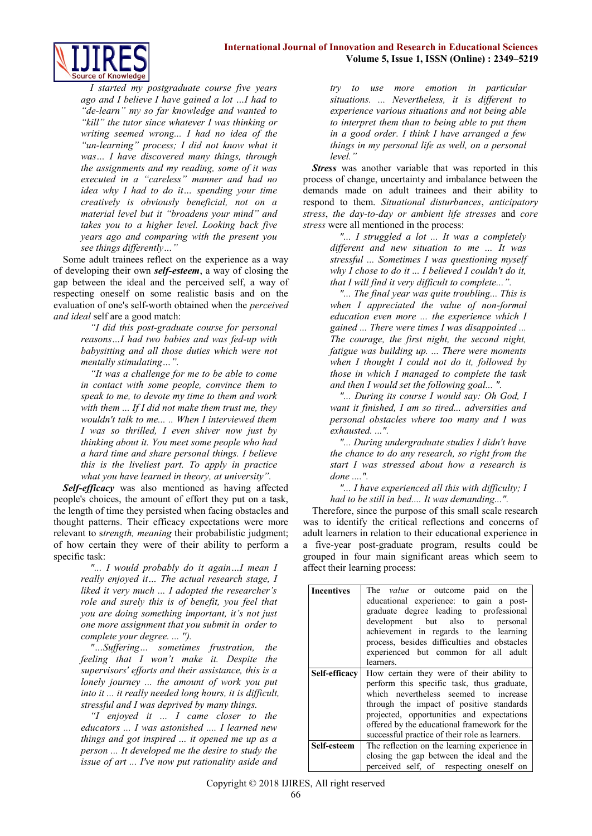

*I started my postgraduate course five years ago and I believe I have gained a lot …I had to "de-learn" my so far knowledge and wanted to "kill" the tutor since whatever I was thinking or writing seemed wrong... I had no idea of the "un-learning" process; I did not know what it was… I have discovered many things, through the assignments and my reading, some of it was executed in a "careless" manner and had no idea why I had to do it… spending your time creatively is obviously beneficial, not on a material level but it "broadens your mind" and takes you to a higher level. Looking back five years ago and comparing with the present you see things differently…"*

Some adult trainees reflect on the experience as a way of developing their own *self-esteem*, a way of closing the gap between the ideal and the perceived self, a way of respecting oneself on some realistic basis and on the evaluation of one's self-worth obtained when the *perceived and ideal* self are a good match:

> *"I did this post-graduate course for personal reasons…I had two babies and was fed-up with babysitting and all those duties which were not mentally stimulating…".*

> *"It was a challenge for me to be able to come in contact with some people, convince them to speak to me, to devote my time to them and work with them ... If I did not make them trust me, they wouldn't talk to me... .. When I interviewed them I was so thrilled, I even shiver now just by thinking about it. You meet some people who had a hard time and share personal things. I believe this is the liveliest part. To apply in practice what you have learned in theory, at university".*

*Self-efficacy* was also mentioned as having affected people's choices, the amount of effort they put on a task, the length of time they persisted when facing obstacles and thought patterns. Their efficacy expectations were more relevant to s*trength, meaning* their probabilistic judgment; of how certain they were of their ability to perform a specific task:

> *"... I would probably do it again…I mean I really enjoyed it… The actual research stage, I liked it very much ... I adopted the researcher's role and surely this is of benefit, you feel that you are doing something important, it's not just one more assignment that you submit in order to complete your degree. ... '').*

> *"…Suffering… sometimes frustration, the feeling that I won't make it. Despite the supervisors' efforts and their assistance, this is a lonely journey ... the amount of work you put into it ... it really needed long hours, it is difficult, stressful and I was deprived by many things.*

> *"I enjoyed it ... I came closer to the educators ... I was astonished .... I learned new things and got inspired ... it opened me up as a person ... It developed me the desire to study the issue of art ... I've now put rationality aside and*

*try to use more emotion in particular situations. ... Nevertheless, it is different to experience various situations and not being able to interpret them than to being able to put them in a good order. I think I have arranged a few things in my personal life as well, on a personal level."* 

**Stress** was another variable that was reported in this process of change, uncertainty and imbalance between the demands made on adult trainees and their ability to respond to them. *Situational disturbances*, *anticipatory stress*, *the day-to-day or ambient life stresses* and *core stress* were all mentioned in the process:

> *"... I struggled a lot ... It was a completely different and new situation to me ... It was stressful ... Sometimes I was questioning myself why I chose to do it ... I believed I couldn't do it, that I will find it very difficult to complete...".*

> *"... The final year was quite troubling... This is when I appreciated the value of non-formal education even more ... the experience which I gained ... There were times I was disappointed ... The courage, the first night, the second night, fatigue was building up. ... There were moments when I thought I could not do it, followed by those in which I managed to complete the task and then I would set the following goal... ".*

> *"... During its course I would say: Oh God, I want it finished, I am so tired... adversities and personal obstacles where too many and I was exhausted. ...".*

> *"... During undergraduate studies I didn't have the chance to do any research, so right from the start I was stressed about how a research is done ....".*

> *"... I have experienced all this with difficulty; I had to be still in bed.... It was demanding...".*

Therefore, since the purpose of this small scale research was to identify the critical reflections and concerns of adult learners in relation to their educational experience in a five-year post-graduate program, results could be grouped in four main significant areas which seem to affect their learning process:

| <b>Incentives</b> | The <i>value</i> or outcome paid on the        |  |  |
|-------------------|------------------------------------------------|--|--|
|                   | educational experience: to gain a post-        |  |  |
|                   | graduate degree leading to professional        |  |  |
|                   | development but also to personal               |  |  |
|                   | achievement in regards to the learning         |  |  |
|                   | process, besides difficulties and obstacles    |  |  |
|                   | experienced but common for all adult           |  |  |
|                   | learners.                                      |  |  |
| Self-efficacy     | How certain they were of their ability to      |  |  |
|                   | perform this specific task, thus graduate,     |  |  |
|                   | which nevertheless seemed to increase          |  |  |
|                   | through the impact of positive standards       |  |  |
|                   | projected, opportunities and expectations      |  |  |
|                   | offered by the educational framework for the   |  |  |
|                   | successful practice of their role as learners. |  |  |
| Self-esteem       | The reflection on the learning experience in   |  |  |
|                   | closing the gap between the ideal and the      |  |  |
|                   | perceived self, of respecting oneself on       |  |  |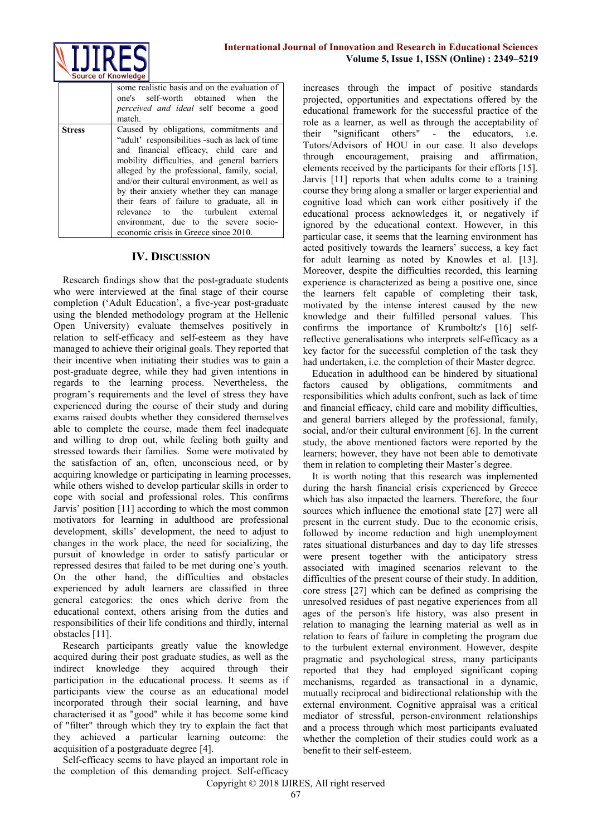

|        | some realistic basis and on the evaluation of<br>one's self-worth obtained when the<br><i>perceived and ideal</i> self become a good<br>match.                                                                                                                                                                                                                                                                                                                                                        |
|--------|-------------------------------------------------------------------------------------------------------------------------------------------------------------------------------------------------------------------------------------------------------------------------------------------------------------------------------------------------------------------------------------------------------------------------------------------------------------------------------------------------------|
| Stress | Caused by obligations, commitments and<br>"adult' responsibilities -such as lack of time<br>and financial efficacy, child care and<br>mobility difficulties, and general barriers<br>alleged by the professional, family, social,<br>and/or their cultural environment, as well as<br>by their anxiety whether they can manage<br>their fears of failure to graduate, all in<br>relevance to the turbulent external<br>environment, due to the severe socio-<br>economic crisis in Greece since 2010. |

#### **IV. DISCUSSION**

Research findings show that the post-graduate students who were interviewed at the final stage of their course completion ('Adult Education', a five-year post-graduate using the blended methodology program at the Hellenic Open University) evaluate themselves positively in relation to self-efficacy and self-esteem as they have managed to achieve their original goals. They reported that their incentive when initiating their studies was to gain a post-graduate degree, while they had given intentions in regards to the learning process. Nevertheless, the program's requirements and the level of stress they have experienced during the course of their study and during exams raised doubts whether they considered themselves able to complete the course, made them feel inadequate and willing to drop out, while feeling both guilty and stressed towards their families. Some were motivated by the satisfaction of an, often, unconscious need, or by acquiring knowledge or participating in learning processes, while others wished to develop particular skills in order to cope with social and professional roles. This confirms Jarvis' position [11] according to which the most common motivators for learning in adulthood are professional development, skills' development, the need to adjust to changes in the work place, the need for socializing, the pursuit of knowledge in order to satisfy particular or repressed desires that failed to be met during one's youth. On the other hand, the difficulties and obstacles experienced by adult learners are classified in three general categories: the ones which derive from the educational context, others arising from the duties and responsibilities of their life conditions and thirdly, internal obstacles [11].

Research participants greatly value the knowledge acquired during their post graduate studies, as well as the indirect knowledge they acquired through their participation in the educational process. It seems as if participants view the course as an educational model incorporated through their social learning, and have characterised it as "good" while it has become some kind of "filter" through which they try to explain the fact that they achieved a particular learning outcome: the acquisition of a postgraduate degree [4].

Self-efficacy seems to have played an important role in the completion of this demanding project. Self-efficacy

increases through the impact of positive standards projected, opportunities and expectations offered by the educational framework for the successful practice of the role as a learner, as well as through the acceptability of their "significant others" - the educators, i.e. Tutors/Advisors of HOU in our case. It also develops through encouragement, praising and affirmation, elements received by the participants for their efforts [15]. Jarvis [11] reports that when adults come to a training course they bring along a smaller or larger experiential and cognitive load which can work either positively if the educational process acknowledges it, or negatively if ignored by the educational context. However, in this particular case, it seems that the learning environment has acted positively towards the learners' success, a key fact for adult learning as noted by Knowles et al. [13]. Moreover, despite the difficulties recorded, this learning experience is characterized as being a positive one, since the learners felt capable of completing their task, motivated by the intense interest caused by the new knowledge and their fulfilled personal values. This confirms the importance of Krumboltz's [16] selfreflective generalisations who interprets self-efficacy as a key factor for the successful completion of the task they had undertaken, i.e. the completion of their Master degree.

Education in adulthood can be hindered by situational factors caused by obligations, commitments and responsibilities which adults confront, such as lack of time and financial efficacy, child care and mobility difficulties, and general barriers alleged by the professional, family, social, and/or their cultural environment [6]. In the current study, the above mentioned factors were reported by the learners; however, they have not been able to demotivate them in relation to completing their Master's degree.

It is worth noting that this research was implemented during the harsh financial crisis experienced by Greece which has also impacted the learners. Therefore, the four sources which influence the emotional state [27] were all present in the current study. Due to the economic crisis, followed by income reduction and high unemployment rates situational disturbances and day to day life stresses were present together with the anticipatory stress associated with imagined scenarios relevant to the difficulties of the present course of their study. In addition, core stress [27] which can be defined as comprising the unresolved residues of past negative experiences from all ages of the person's life history, was also present in relation to managing the learning material as well as in relation to fears of failure in completing the program due to the turbulent external environment. However, despite pragmatic and psychological stress, many participants reported that they had employed significant coping mechanisms, regarded as transactional in a dynamic, mutually reciprocal and bidirectional relationship with the external environment. Cognitive appraisal was a critical mediator of stressful, person-environment relationships and a process through which most participants evaluated whether the completion of their studies could work as a benefit to their self-esteem.

Copyright © 2018 IJIRES, All right reserved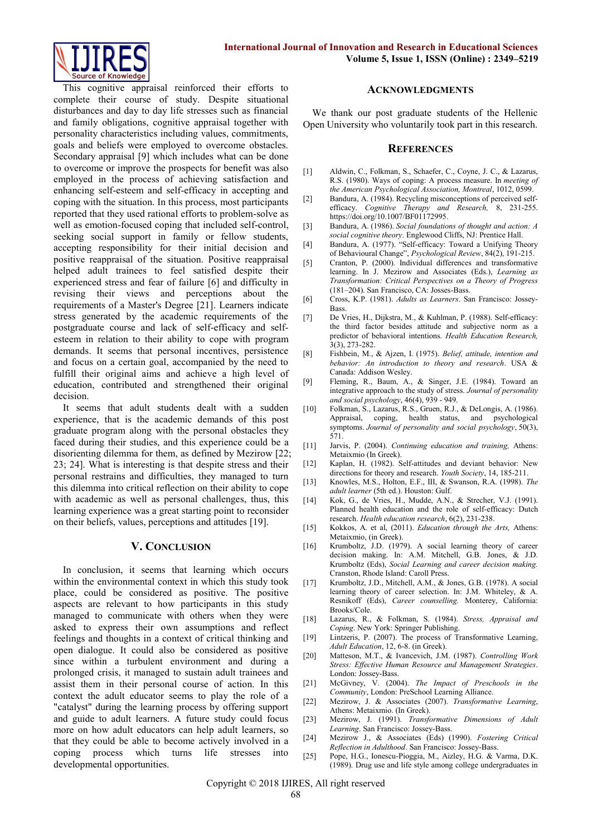

This cognitive appraisal reinforced their efforts to complete their course of study. Despite situational disturbances and day to day life stresses such as financial and family obligations, cognitive appraisal together with personality characteristics including values, commitments, goals and beliefs were employed to overcome obstacles. Secondary appraisal [9] which includes what can be done to overcome or improve the prospects for benefit was also employed in the process of achieving satisfaction and enhancing self-esteem and self-efficacy in accepting and coping with the situation. In this process, most participants reported that they used rational efforts to problem-solve as well as emotion-focused coping that included self-control, seeking social support in family or fellow students, accepting responsibility for their initial decision and positive reappraisal of the situation. Positive reappraisal helped adult trainees to feel satisfied despite their experienced stress and fear of failure [6] and difficulty in revising their views and perceptions about the requirements of a Master's Degree [21]. Learners indicate stress generated by the academic requirements of the postgraduate course and lack of self-efficacy and selfesteem in relation to their ability to cope with program demands. It seems that personal incentives, persistence and focus on a certain goal, accompanied by the need to fulfill their original aims and achieve a high level of education, contributed and strengthened their original decision.

It seems that adult students dealt with a sudden experience, that is the academic demands of this post graduate program along with the personal obstacles they faced during their studies, and this experience could be a disorienting dilemma for them, as defined by Mezirow [22; 23; 24]. What is interesting is that despite stress and their personal restrains and difficulties, they managed to turn this dilemma into critical reflection on their ability to cope with academic as well as personal challenges, thus, this learning experience was a great starting point to reconsider on their beliefs, values, perceptions and attitudes [19].

#### **V. CONCLUSION**

In conclusion, it seems that learning which occurs within the environmental context in which this study took place, could be considered as positive. The positive aspects are relevant to how participants in this study managed to communicate with others when they were asked to express their own assumptions and reflect feelings and thoughts in a context of critical thinking and open dialogue. It could also be considered as positive since within a turbulent environment and during a prolonged crisis, it managed to sustain adult trainees and assist them in their personal course of action. In this context the adult educator seems to play the role of a "catalyst" during the learning process by offering support and guide to adult learners. A future study could focus more on how adult educators can help adult learners, so that they could be able to become actively involved in a coping process which turns life stresses into developmental opportunities.

#### **ACKNOWLEDGMENTS**

We thank our post graduate students of the Hellenic Open University who voluntarily took part in this research.

#### **REFERENCES**

- [1] Aldwin, C., Folkman, S., Schaefer, C., Coyne, J. C., & Lazarus, R.S. (1980). Ways of coping: A process measure. In *meeting of the American Psychological Association, Montreal*, 1012, 0599.
- [2] Bandura, A. (1984). Recycling misconceptions of perceived selfefficacy. *Cognitive Therapy and Research,* 8, 231-255. [https://doi.org/10.1007/BF01172995.](https://doi.org/10.1007/BF01172995)
- [3] Bandura, A. (1986). *Social foundations of thought and action: A social cognitive theory*. Englewood Cliffs, NJ: Prentice Hall.
- [4] Bandura, A. (1977). "Self-efficacy: Toward a Unifying Theory of Behavioural Change", *Psychological Review*, 84(2), 191-215.
- [5] Cranton, P. (2000). Individual differences and transformative learning. In J. Mezirow and Associates (Eds.), *Learning as Transformation: Critical Perspectives on a Theory of Progress* (181–204). San Francisco, CA: Josses-Bass.
- [6] Cross, K.P. (1981). *Adults as Learners*. San Francisco: Jossey-Bass.
- [7] De Vries, H., Dijkstra, M., & Kuhlman, P. (1988). Self-efficacy: the third factor besides attitude and subjective norm as a predictor of behavioral intentions. *Health Education Research,* 3(3), 273-282.
- [8] Fishbein, M., & Ajzen, I. (1975). *Belief, attitude, intention and behavior: An introduction to theory and research*. USA & Canada: Addison Wesley.
- [9] Fleming, R., Baum, A., & Singer, J.E. (1984). Toward an integrative approach to the study of stress. *Journal of personality and social psychology*, 46(4), 939 - 949.
- [10] Folkman, S., Lazarus, R.S., Gruen, R.J., & DeLongis, A. (1986). Appraisal, coping, health status, and psychological symptoms. *Journal of personality and social psychology*, 50(3), 571.
- [11] Jarvis, P. (2004). *Continuing education and training,* Athens: Metaixmio (In Greek).
- [12] Kaplan, H. (1982). Self-attitudes and deviant behavior: New directions for theory and research. *Youth Society*, 14, 185-211.
- [13] Knowles, M.S., Holton, E.F., III, & Swanson, R.A. (1998). *The adult learner* (5th ed.). Houston: Gulf.
- [14] Kok, G., de Vries, H., Mudde, A.N., & Strecher, V.J. (1991). Planned health education and the role of self-efficacy: Dutch research. *Health education research*, 6(2), 231-238.
- [15] Kokkos, A. et al, (2011). *Education through the Arts*, Athens: Metaixmio, (in Greek).
- [16] Krumboltz, J.D. (1979). A social learning theory of career decision making. In: A.M. Mitchell, G.B. Jones, & J.D. Krumboltz (Eds), *Social Learning and career decision making.*  Cranston, Rhode Island: Caroll Press.
- [17] Krumboltz, J.D., Mitchell, A.M., & Jones, G.B. (1978). A social learning theory of career selection. In: J.M. Whiteley, & A. Resnikoff (Eds), *Career counselling.* Monterey, California: Brooks/Cole.
- [18] Lazarus, R., & Folkman, S. (1984). *Stress, Appraisal and Coping*. New York: Springer Publishing.
- [19] Lintzeris, P. (2007). The process of Transformative Learning, *Adult Education*, 12, 6-8. (in Greek).
- [20] Matteson, M.T., & Ivancevich, J.M. (1987). *Controlling Work Stress: Effective Human Resource and Management Strategies*. London: Jossey-Bass.
- [21] McGivney, V. (2004). *The Impact of Preschools in the Community*, London: PreSchool Learning Alliance.
- [22] Mezirow, J. & Associates (2007). *Transformative Learning*, Athens: Metaixmio. (In Greek).
- [23] Mezirow, J. (1991). *Transformative Dimensions of Adult Learning*. San Francisco: Jossey-Bass.
- [24] Mezirow J., & Associates (Eds) (1990). *Fostering Critical Reflection in Adulthood*. San Francisco: Jossey-Bass.
- [25] Pope, H.G., Ionescu-Pioggia, M., Aizley, H.G. & Varma, D.K. (1989). Drug use and life style among college undergraduates in